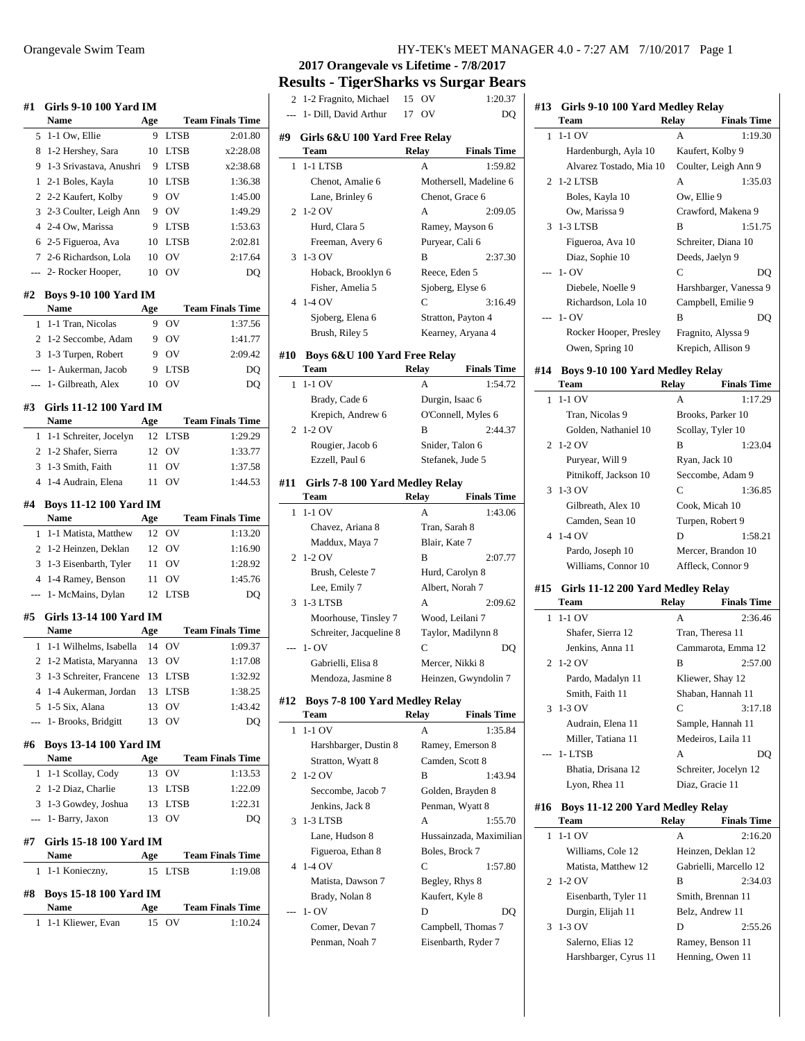| #1<br>Girls 9-10 100 Yard IM                      |           |                            |                         |
|---------------------------------------------------|-----------|----------------------------|-------------------------|
| Name                                              | Age       |                            | <b>Team Finals Time</b> |
| 1-1 Ow, Ellie<br>5                                | 9         | <b>LTSB</b>                | 2:01.80                 |
| 8<br>1-2 Hershey, Sara                            | 10<br>9   | <b>LTSB</b><br><b>LTSB</b> | x2:28.08<br>x2:38.68    |
| 1-3 Srivastava, Anushri<br>9                      |           |                            |                         |
| 2-1 Boles, Kayla<br>1                             | 10        | <b>LTSB</b>                | 1:36.38                 |
| 2-2 Kaufert, Kolby<br>2                           | 9         | OV                         | 1:45.00                 |
| 2-3 Coulter, Leigh Ann<br>3                       | 9         | OV                         | 1:49.29                 |
| 2-4 Ow, Marissa<br>4                              | 9         | <b>LTSB</b>                | 1:53.63                 |
| 2-5 Figueroa, Ava<br>6                            | 10        | <b>LTSB</b>                | 2:02.81                 |
| 2-6 Richardson, Lola<br>$\tau$                    | 10        | OV                         | 2:17.64                 |
| 2- Rocker Hooper,<br>$---$                        | 10        | OV                         | DO                      |
| #2<br><b>Boys 9-10 100 Yard IM</b><br><b>Name</b> | Age       |                            | <b>Team Finals Time</b> |
| 1-1 Tran, Nicolas<br>1                            | 9         | OV                         | 1:37.56                 |
| $\overline{2}$<br>1-2 Seccombe, Adam              | 9         | OV                         | 1:41.77                 |
| 3<br>1-3 Turpen, Robert                           | 9         | OV                         | 2:09.42                 |
| 1- Aukerman, Jacob<br>$\overline{a}$              | 9         | <b>LTSB</b>                | DQ                      |
| 1- Gilbreath, Alex<br>---                         | 10        | O <sub>V</sub>             | DQ                      |
| #3<br>Girls 11-12 100 Yard IM                     |           |                            |                         |
| Name                                              | Age       |                            | <b>Team Finals Time</b> |
| 1-1 Schreiter, Jocelyn<br>1                       | 12        | <b>LTSB</b>                | 1:29.29                 |
| $\overline{c}$<br>1-2 Shafer, Sierra              | 12        | OV                         | 1:33.77                 |
| 1-3 Smith, Faith<br>3                             | 11        | OV                         | 1:37.58                 |
| 1-4 Audrain, Elena<br>4                           | 11        | OV                         | 1:44.53                 |
|                                                   |           |                            |                         |
| #4<br><b>Boys 11-12 100 Yard IM</b><br>Name       |           |                            | <b>Team Finals Time</b> |
|                                                   | Age       |                            |                         |
|                                                   |           |                            |                         |
| 1-1 Matista, Matthew<br>1                         | 12        | OV                         | 1:13.20                 |
| 1-2 Heinzen, Deklan<br>2                          | 12        | OV                         | 1:16.90                 |
| 3<br>1-3 Eisenbarth, Tyler                        | 11        | OV                         | 1:28.92                 |
| 1-4 Ramey, Benson<br>4                            | 11        | OV                         | 1:45.76                 |
| 1- McMains, Dylan<br>---                          | 12        | <b>LTSB</b>                | DQ                      |
| #5<br>Girls 13-14 100 Yard IM                     |           |                            |                         |
| <b>Name</b>                                       | Age       |                            | <b>Team Finals Time</b> |
| 1-1 Wilhelms, Isabella<br>1                       | 14        | OV                         | 1:09.37                 |
| 1-2 Matista, Maryanna<br>2                        | 13        | OV                         | 1:17.08                 |
| 1-3 Schreiter, Francene<br>3                      | 13        | <b>LTSB</b>                | 1:32.92                 |
| 4 1-4 Aukerman, Jordan                            | 13        | <b>LTSB</b>                | 1:38.25                 |
| 1-5 Six, Alana<br>5                               | 13        | OV                         | 1:43.42                 |
| 1- Brooks, Bridgitt<br>---                        | 13        | OV                         | DQ                      |
| <b>Boys 13-14 100 Yard IM</b><br>#6               |           |                            |                         |
| Name                                              | Age       |                            | <b>Team Finals Time</b> |
| 1-1 Scollay, Cody<br>1                            | 13        | OV                         | 1:13.53                 |
| 2<br>1-2 Diaz, Charlie                            | 13        | <b>LTSB</b>                | 1:22.09                 |
| 3<br>1-3 Gowdey, Joshua<br>$\overline{a}$         | 13<br>13  | <b>LTSB</b><br>OV          | 1:22.31<br>DQ           |
| 1- Barry, Jaxon                                   |           |                            |                         |
| Girls 15-18 100 Yard IM<br>#7<br>Name             |           |                            | <b>Team Finals Time</b> |
| 1-1 Konieczny,<br>1                               | Age<br>15 | LTSB                       | 1:19.08                 |
|                                                   |           |                            |                         |
| #8<br><b>Boys 15-18 100 Yard IM</b><br>Name       |           |                            | <b>Team Finals Time</b> |
| 1-1 Kliewer, Evan<br>1                            | Age<br>15 | OV                         | 1:10.24                 |

**2017 Orangevale vs Lifetime - 7/8/2017**

**Results - TigerSharks vs Surgar Bears** 2 1-2 Fragnito, Michael 15 OV 1:20.37

| ∠              | $1 - 2$ Plagmio, ivilente             | IJ | $\mathsf{v}$     | 1.20.31                 |
|----------------|---------------------------------------|----|------------------|-------------------------|
|                | 1- Dill, David Arthur                 |    | 17 OV            | DQ                      |
| #9             | Girls 6&U 100 Yard Free Relav         |    |                  |                         |
|                | Team                                  |    | Relay            | <b>Finals Time</b>      |
| 1              | 1-1 LTSB                              |    | А                | 1:59.82                 |
|                | Chenot, Amalie 6                      |    |                  | Mothersell, Madeline 6  |
|                | Lane, Brinley 6                       |    | Chenot, Grace 6  |                         |
| 2              | 1-2 OV                                |    | А                | 2:09.05                 |
|                | Hurd, Clara 5                         |    |                  | Ramey, Mayson 6         |
|                | Freeman, Avery 6                      |    | Puryear, Cali 6  |                         |
| 3              | $1-3$ OV                              |    | В                | 2:37.30                 |
|                | Hoback, Brooklyn 6                    |    | Reece, Eden 5    |                         |
|                | Fisher, Amelia 5                      |    | Sjoberg, Elyse 6 |                         |
| $\overline{4}$ | 1-4 OV                                |    | C                | 3:16.49                 |
|                | Sjoberg, Elena 6                      |    |                  | Stratton, Payton 4      |
|                |                                       |    |                  |                         |
|                | Brush, Riley 5                        |    |                  | Kearney, Aryana 4       |
| #10            | Boys 6&U 100 Yard Free Relay          |    |                  |                         |
|                | Team                                  |    | <b>Relay</b>     | <b>Finals Time</b>      |
| 1              | $1-1$ OV                              |    | А                | 1:54.72                 |
|                | Brady, Cade 6                         |    | Durgin, Isaac 6  |                         |
|                | Krepich, Andrew 6                     |    |                  | O'Connell, Myles 6      |
| 2              | $1-2$ OV                              |    | В                | 2:44.37                 |
|                | Rougier, Jacob 6                      |    | Snider, Talon 6  |                         |
|                | Ezzell, Paul 6                        |    | Stefanek, Jude 5 |                         |
| #11            | Girls 7-8 100 Yard Medley Relay       |    |                  |                         |
|                | Team                                  |    | Relay            | <b>Finals Time</b>      |
| 1              | $1-1$ OV                              |    | А                | 1:43.06                 |
|                | Chavez, Ariana 8                      |    | Tran, Sarah 8    |                         |
|                | Maddux, Maya 7                        |    | Blair, Kate 7    |                         |
| $\overline{2}$ | 1-2 OV                                |    | В                | 2:07.77                 |
|                | Brush, Celeste 7                      |    | Hurd, Carolyn 8  |                         |
|                | Lee, Emily 7                          |    | Albert, Norah 7  |                         |
| 3              | 1-3 LTSB                              |    | А                | 2:09.62                 |
|                | Moorhouse, Tinsley 7                  |    | Wood, Leilani 7  |                         |
|                | Schreiter, Jacqueline 8               |    |                  | Taylor, Madilynn 8      |
|                | $1 - OV$                              |    | C                | DQ                      |
|                | Gabrielli, Elisa 8                    |    | Mercer, Nikki 8  |                         |
|                | Mendoza, Jasmine 8                    |    |                  | Heinzen, Gwyndolin 7    |
|                |                                       |    |                  |                         |
| #12            | <b>Boys 7-8 100 Yard Medley Relay</b> |    |                  |                         |
|                | Team                                  |    | <b>Relay</b>     | <b>Finals Time</b>      |
| 1              | 1-1 OV                                |    | А                | 1:35.84                 |
|                | Harshbarger, Dustin 8                 |    |                  | Ramey, Emerson 8        |
|                | Stratton, Wyatt 8                     |    | Camden, Scott 8  |                         |
| 2              | 1-2 OV                                |    | B                | 1:43.94                 |
|                | Seccombe, Jacob 7                     |    |                  | Golden, Brayden 8       |
|                | Jenkins, Jack 8                       |    | Penman, Wyatt 8  |                         |
| 3              | 1-3 LTSB                              |    | А                | 1:55.70                 |
|                | Lane, Hudson 8                        |    |                  | Hussainzada, Maximilian |
|                | Figueroa, Ethan 8                     |    | Boles, Brock 7   |                         |
| 4              | 1-4 OV                                |    | С                | 1:57.80                 |
|                | Matista, Dawson 7                     |    | Begley, Rhys 8   |                         |
|                | Brady, Nolan 8                        |    | Kaufert, Kyle 8  |                         |
|                | $1 - OV$                              |    | D                | DO                      |
|                | Comer, Devan 7                        |    |                  | Campbell, Thomas 7      |
|                | Penman, Noah 7                        |    |                  | Eisenbarth, Ryder 7     |
|                |                                       |    |                  |                         |

|     | Girls 9-10 100 Yard Medley Relay               |                             |
|-----|------------------------------------------------|-----------------------------|
|     | Team                                           | Relay<br><b>Finals Time</b> |
| 1   | $1-1$ OV                                       | 1:19.30<br>A                |
|     | Hardenburgh, Ayla 10                           | Kaufert, Kolby 9            |
|     | Alvarez Tostado, Mia 10                        | Coulter, Leigh Ann 9        |
| 2   | 1-2 LTSB                                       | А<br>1:35.03                |
|     | Boles, Kayla 10                                | Ow, Ellie 9                 |
|     | Ow, Marissa 9                                  | Crawford, Makena 9          |
| 3   | 1-3 LTSB                                       | B<br>1:51.75                |
|     | Figueroa, Ava 10                               | Schreiter, Diana 10         |
|     | Diaz, Sophie 10                                | Deeds, Jaelyn 9             |
|     | $1 - OV$                                       | C<br>DQ                     |
|     | Diebele, Noelle 9                              | Harshbarger, Vanessa 9      |
|     | Richardson, Lola 10                            | Campbell, Emilie 9          |
|     | $1 - OV$                                       | B<br>DQ                     |
|     | Rocker Hooper, Presley                         | Fragnito, Alyssa 9          |
|     | Owen, Spring 10                                | Krepich, Allison 9          |
| #14 |                                                |                             |
|     | <b>Boys 9-10 100 Yard Medley Relay</b><br>Team | Relay<br><b>Finals Time</b> |
| 1   | $1-1$ OV                                       | А<br>1:17.29                |
|     | Tran, Nicolas 9                                | Brooks, Parker 10           |
|     | Golden, Nathaniel 10                           | Scollay, Tyler 10           |
| 2   | 1-2 OV                                         | B<br>1:23.04                |
|     | Puryear, Will 9                                | Ryan, Jack 10               |
|     | Pitnikoff, Jackson 10                          | Seccombe, Adam 9            |
| 3   | 1-3 OV                                         | C<br>1:36.85                |
|     | Gilbreath, Alex 10                             | Cook, Micah 10              |
|     | Camden, Sean 10                                | Turpen, Robert 9            |
| 4   | $1-4$ OV                                       | D<br>1:58.21                |
|     | Pardo, Joseph 10                               | Mercer, Brandon 10          |
|     | Williams, Connor 10                            | Affleck, Connor 9           |
|     |                                                |                             |
| #15 | Girls 11-12 200 Yard Medley Relay              |                             |
|     | Team                                           | <b>Finals Time</b><br>Relay |
| 1   | $1-1$ OV                                       | 2:36.46<br>A                |
|     |                                                |                             |
|     | Shafer, Sierra 12                              | Tran, Theresa 11            |
|     | Jenkins, Anna 11                               | Cammarota, Emma 12          |
| 2   | $1-2$ OV                                       | B<br>2:57.00                |
|     | Pardo, Madalyn 11                              | Kliewer, Shay 12            |
|     | Smith, Faith 11                                | Shaban, Hannah 11           |
| 3   | 1-3 OV                                         | C<br>3:17.18                |
|     | Audrain, Elena 11                              | Sample, Hannah 11           |
|     | Miller, Tatiana 11                             | Medeiros, Laila 11          |
|     | 1- LTSB                                        | А<br>DO                     |
|     | Bhatia, Drisana 12                             | Schreiter, Jocelyn 12       |
|     | Lyon, Rhea 11                                  | Diaz, Gracie 11             |
| #16 | Boys 11-12 200 Yard Medley Relay               |                             |
|     | Team                                           | <b>Finals Time</b><br>Relay |
| 1   | 1-1 OV                                         | А<br>2:16.20                |
|     | Williams, Cole 12                              | Heinzen, Deklan 12          |
|     | Matista, Matthew 12                            | Gabrielli, Marcello 12      |
| 2   | 1-2 OV                                         | 2:34.03<br>в                |
|     | Eisenbarth, Tyler 11                           | Smith, Brennan 11           |
|     | Durgin, Elijah 11                              | Belz, Andrew 11             |
| 3   | $1-3$ OV                                       | D<br>2:55.26                |
|     | Salerno, Elias 12                              | Ramey, Benson 11            |
|     | Harshbarger, Cyrus 11                          | Henning, Owen 11            |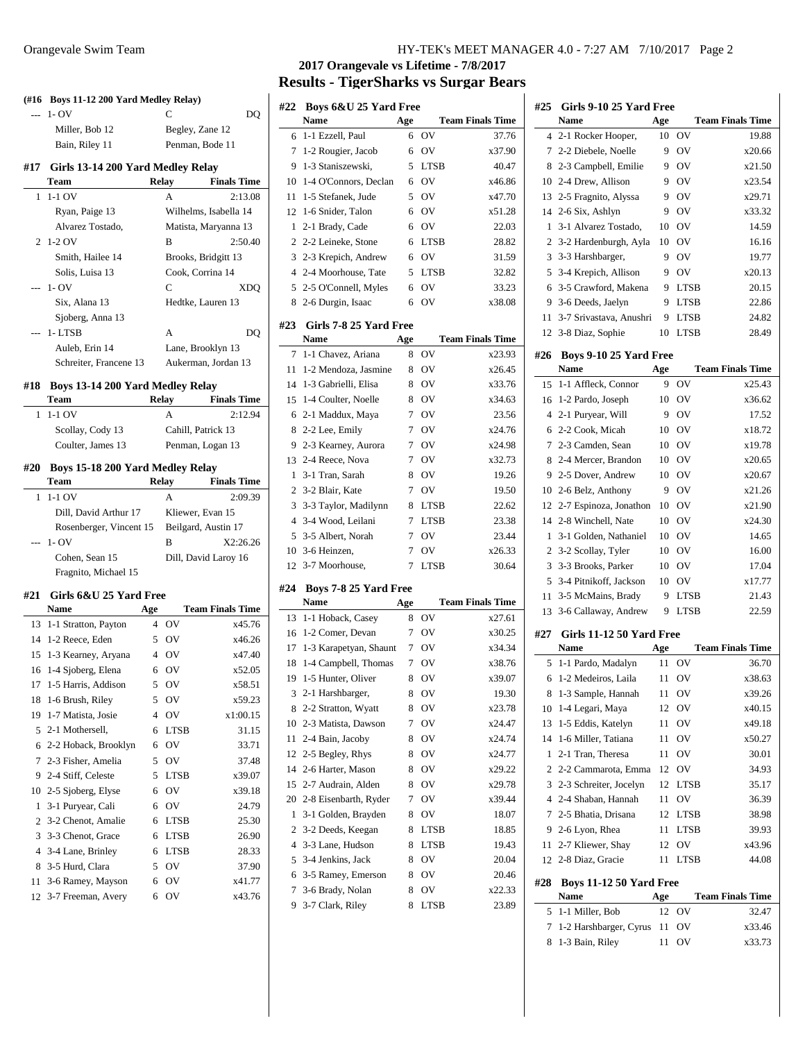| (#16<br>$---$  | Boys 11-12 200 Yard Medley Relay)<br>1- OV |                | С                       | DQ                            |
|----------------|--------------------------------------------|----------------|-------------------------|-------------------------------|
|                | Miller, Bob 12                             |                | Begley, Zane 12         |                               |
|                | Bain, Riley 11                             |                | Penman, Bode 11         |                               |
|                |                                            |                |                         |                               |
| #17            | Girls 13-14 200 Yard Medley Relay<br>Team  |                | Relay                   | <b>Finals Time</b>            |
| 1              | 1-1 OV                                     |                | А                       | 2:13.08                       |
|                | Ryan, Paige 13                             |                | Wilhelms, Isabella 14   |                               |
|                | Alvarez Tostado,                           |                | Matista, Maryanna 13    |                               |
| 2              | 1-2 OV                                     |                | в                       | 2:50.40                       |
|                | Smith, Hailee 14                           |                | Brooks, Bridgitt 13     |                               |
|                | Solis, Luisa 13                            |                | Cook, Corrina 14        |                               |
|                | $1 - OV$                                   |                | C                       | <b>XDQ</b>                    |
|                | Six, Alana 13                              |                | Hedtke, Lauren 13       |                               |
|                | Sjoberg, Anna 13                           |                |                         |                               |
|                | 1-LTSB                                     |                | A                       | DQ                            |
|                | Auleb, Erin 14                             |                | Lane, Brooklyn 13       |                               |
|                | Schreiter, Francene 13                     |                | Aukerman, Jordan 13     |                               |
| #18            | Boys 13-14 200 Yard Medley Relay<br>Team   |                | Relay                   | <b>Finals Time</b>            |
| 1              | $1-1$ OV                                   |                | A                       | 2:12.94                       |
|                | Scollay, Cody 13                           |                | Cahill, Patrick 13      |                               |
|                | Coulter, James 13                          |                | Penman, Logan 13        |                               |
|                |                                            |                |                         |                               |
| #20            | <b>Boys 15-18 200 Yard Medley Relay</b>    |                |                         |                               |
| 1              | Team<br>$1-1$ OV                           |                | Relay<br>А              | <b>Finals Time</b><br>2:09.39 |
|                | Dill, David Arthur 17                      |                | Kliewer, Evan 15        |                               |
|                | Rosenberger, Vincent 15                    |                | Beilgard, Austin 17     |                               |
| ---            | $1 - OV$                                   |                | В                       | X2:26.26                      |
|                | Cohen, Sean 15                             |                | Dill, David Laroy 16    |                               |
|                |                                            |                |                         |                               |
|                |                                            |                |                         |                               |
|                | Fragnito, Michael 15                       |                |                         |                               |
|                | #21 Girls 6&U 25 Yard Free                 |                |                         |                               |
|                | <b>Name</b>                                | Age<br>4       | <b>Team Finals Time</b> |                               |
| 13<br>14       | 1-1 Stratton, Payton                       |                | OV                      | x45.76                        |
| 15             | 1-2 Reece, Eden<br>1-3 Kearney, Aryana     |                | 5 OV<br>4 OV            | x46.26<br>x47.40              |
|                | 16 1-4 Sjoberg, Elena                      |                | 6 OV                    | x52.05                        |
| 17             | 1-5 Harris, Addison                        | 5              | OV                      | x58.51                        |
| 18             | 1-6 Brush, Riley                           | 5              | OV                      | x59.23                        |
| 19             | 1-7 Matista, Josie                         | $\overline{4}$ | OV                      | x1:00.15                      |
| 5              | 2-1 Mothersell,                            | 6              | <b>LTSB</b>             | 31.15                         |
| 6              | 2-2 Hoback, Brooklyn                       | 6              | OV                      | 33.71                         |
| 7              | 2-3 Fisher, Amelia                         | 5              | OV                      | 37.48                         |
| 9              | 2-4 Stiff, Celeste                         | 5              | <b>LTSB</b>             | x39.07                        |
| 10             | 2-5 Sjoberg, Elyse                         | 6              | OV                      | x39.18                        |
| 1              | 3-1 Puryear, Cali                          | 6              | OV                      | 24.79                         |
| 2              | 3-2 Chenot, Amalie                         | 6              | <b>LTSB</b>             | 25.30                         |
| 3              | 3-3 Chenot, Grace                          | 6              | LTSB                    | 26.90                         |
| $\overline{4}$ | 3-4 Lane, Brinley                          | 6              | <b>LTSB</b>             | 28.33                         |
| 8              | 3-5 Hurd, Clara                            | 5              | OV                      | 37.90                         |
| 11             | 3-6 Ramey, Mayson                          | 6              | OV                      | x41.77                        |

# **2017 Orangevale vs Lifetime - 7/8/2017 Results - TigerSharks vs Surgar Bears**

| #22            | <b>Boys 6&amp;U 25 Yard Free</b><br>Name       | Age    |             | <b>Team Finals Time</b> |
|----------------|------------------------------------------------|--------|-------------|-------------------------|
| 6              | 1-1 Ezzell, Paul                               | 6      | OV          | 37.76                   |
| 7              | 1-2 Rougier, Jacob                             | 6      | OV          | x37.90                  |
| 9              | 1-3 Staniszewski,                              | 5      | <b>LTSB</b> | 40.47                   |
| 10             | 1-4 O'Connors, Declan                          | 6      | OV          | x46.86                  |
| 11             | 1-5 Stefanek, Jude                             | 5      | OV          | x47.70                  |
| 12             | 1-6 Snider, Talon                              | 6      | OV          | x51.28                  |
| 1              | 2-1 Brady, Cade                                | 6      | OV          | 22.03                   |
| $\overline{c}$ | 2-2 Leineke, Stone                             | 6      | <b>LTSB</b> | 28.82                   |
| 3              | 2-3 Krepich, Andrew                            | 6      | OV          | 31.59                   |
| 4              | 2-4 Moorhouse, Tate                            | 5      | <b>LTSB</b> | 32.82                   |
| 5              | 2-5 O'Connell, Myles                           | 6      | OV          | 33.23                   |
|                | 2-6 Durgin, Isaac                              | 6      | OV          | x38.08                  |
| 8              |                                                |        |             |                         |
| #23            | Girls 7-8 25 Yard Free                         |        |             |                         |
|                | Name                                           | Age    |             | <b>Team Finals Time</b> |
| 7              | 1-1 Chavez, Ariana                             | 8      | OV          | x23.93                  |
| 11             | 1-2 Mendoza, Jasmine                           | 8      | OV          | x26.45                  |
| 14             | 1-3 Gabrielli, Elisa                           | 8      | OV          | x33.76                  |
| 15             | 1-4 Coulter, Noelle                            | 8      | OV          | x34.63                  |
| 6              | 2-1 Maddux, Maya                               | 7      | OV          | 23.56                   |
| 8              | 2-2 Lee, Emily                                 | 7      | OV          | x24.76                  |
| 9              | 2-3 Kearney, Aurora                            | 7      | OV          | x24.98                  |
| 13             | 2-4 Reece, Nova                                | 7      | OV          | x32.73                  |
| 1              | 3-1 Tran, Sarah                                | 8      | OV          | 19.26                   |
| $\overline{c}$ | 3-2 Blair, Kate                                | 7      | OV          | 19.50                   |
| 3              | 3-3 Taylor, Madilynn                           | 8      | <b>LTSB</b> | 22.62                   |
| 4              | 3-4 Wood, Leilani                              | 7      | <b>LTSB</b> | 23.38                   |
| 5              | 3-5 Albert, Norah                              | 7      | OV          | 23.44                   |
| 10             | 3-6 Heinzen,                                   | 7      | OV          | x26.33                  |
| 12             | 3-7 Moorhouse,                                 | 7      | <b>LTSB</b> | 30.64                   |
|                |                                                |        |             |                         |
| #24            | Boys 7-8 25 Yard Free<br><b>Name</b>           | Age    |             | <b>Team Finals Time</b> |
| 13             | 1-1 Hoback, Casey                              | 8      | OV          | x27.61                  |
| 16             | 1-2 Comer, Devan                               | 7      | OV          | x30.25                  |
| 17             |                                                | 7      | OV          | x34.34                  |
|                | 1-3 Karapetyan, Shaunt<br>1-4 Campbell, Thomas |        | OV          | x38.76                  |
| 18             | 1-5 Hunter, Oliver                             | 7<br>8 | OV          | x39.07                  |
| 19             |                                                |        |             |                         |
| 3              | 2-1 Harshbarger,                               | 8      | OV          | 19.30                   |
| 8              | 2-2 Stratton, Wyatt                            | 8      | OV          | x23.78                  |
| 10             | 2-3 Matista, Dawson                            | 7      | OV          | x24.47                  |
| 11             | 2-4 Bain, Jacoby                               | 8      | OV          | x24.74                  |
| 12             | 2-5 Begley, Rhys                               | 8      | OV          | x24.77                  |
| 14             | 2-6 Harter, Mason                              | 8      | OV          | x29.22                  |
| 15             | 2-7 Audrain, Alden                             | 8      | OV          | x29.78                  |
|                | 20 2-8 Eisenbarth, Ryder                       | 7      | OV          | x39.44                  |
| 1              | 3-1 Golden, Brayden                            | 8      | OV          | 18.07                   |
| 2              | 3-2 Deeds, Keegan                              | 8      | LTSB        | 18.85                   |
| 4              | 3-3 Lane, Hudson                               | 8      | LTSB        | 19.43                   |
| 5              | 3-4 Jenkins, Jack                              | 8      | OV          | 20.04                   |
| 6              | 3-5 Ramey, Emerson                             | 8      | OV          | 20.46                   |
| 7              | 3-6 Brady, Nolan                               | 8      | OV          | x22.33                  |
| 9              | 3-7 Clark, Riley                               | 8      | LTSB        | 23.89                   |
|                |                                                |        |             |                         |

| #25            | Girls 9-10 25 Yard Free                |     |                |                         |
|----------------|----------------------------------------|-----|----------------|-------------------------|
|                | <b>Name</b>                            | Age |                | <b>Team Finals Time</b> |
| 4              | 2-1 Rocker Hooper,                     | 10  | OV             | 19.88                   |
| 7              | 2-2 Diebele, Noelle                    | 9   | OV             | x20.66                  |
| 8              | 2-3 Campbell, Emilie                   | 9   | OV             | x21.50                  |
| 10             | 2-4 Drew, Allison                      | 9   | O <sub>V</sub> | x23.54                  |
| 13             | 2-5 Fragnito, Alyssa                   | 9   | OV             | x29.71                  |
| 14             | 2-6 Six, Ashlyn                        | 9   | OV             | x33.32                  |
| $\mathbf{1}$   | 3-1 Alvarez Tostado,                   | 10  | OV             | 14.59                   |
| $\overline{c}$ | 3-2 Hardenburgh, Ayla                  | 10  | OV             | 16.16                   |
| 3              | 3-3 Harshbarger,                       | 9   | OV             | 19.77                   |
| 5              | 3-4 Krepich, Allison                   | 9   | OV             | x20.13                  |
| 6              | 3-5 Crawford, Makena                   | 9   | <b>LTSB</b>    | 20.15                   |
| 9              | 3-6 Deeds, Jaelyn                      | 9   | <b>LTSB</b>    | 22.86                   |
| 11             | 3-7 Srivastava, Anushri                | 9   | <b>LTSB</b>    | 24.82                   |
| 12             | 3-8 Diaz, Sophie                       | 10  | <b>LTSB</b>    | 28.49                   |
|                |                                        |     |                |                         |
| #26            | Boys 9-10 25 Yard Free                 |     |                |                         |
|                | Name                                   | Age |                | <b>Team Finals Time</b> |
| 15             | 1-1 Affleck, Connor                    | 9   | OV             | x25.43                  |
| 16             | 1-2 Pardo, Joseph                      | 10  | OV             | x36.62                  |
| $\overline{4}$ | 2-1 Puryear, Will                      | 9   | OV             | 17.52                   |
| 6              | 2-2 Cook, Micah                        | 10  | OV             | x18.72                  |
| 7              | 2-3 Camden, Sean                       | 10  | OV             | x19.78                  |
| 8              | 2-4 Mercer, Brandon                    | 10  | OV             | x20.65                  |
| 9              | 2-5 Dover, Andrew                      | 10  | O <sub>V</sub> | x20.67                  |
| 10             | 2-6 Belz, Anthony                      | 9   | OV             | x21.26                  |
| 12             | 2-7 Espinoza, Jonathon                 | 10  | OV             | x21.90                  |
| 14             | 2-8 Winchell, Nate                     | 10  | OV             | x24.30                  |
| 1              | 3-1 Golden, Nathaniel                  | 10  | OV             | 14.65                   |
| $\overline{c}$ | 3-2 Scollay, Tyler                     | 10  | OV             | 16.00                   |
| 3              | 3-3 Brooks, Parker                     | 10  | OV             | 17.04                   |
| 5              | 3-4 Pitnikoff, Jackson                 | 10  | OV             | x17.77                  |
| 11             | 3-5 McMains, Brady                     | 9   | <b>LTSB</b>    | 21.43                   |
| 13             | 3-6 Callaway, Andrew                   | 9   | <b>LTSB</b>    | 22.59                   |
|                |                                        |     |                |                         |
| #27            | Girls 11-12 50 Yard Free               |     |                |                         |
|                | Name                                   | Age |                | <b>Team Finals Time</b> |
| 5              | 1-1 Pardo, Madalyn                     | 11  | OV             | 36.70                   |
| 6              | 1-2 Medeiros, Laila                    | 11  | O <sub>V</sub> | x38.63                  |
| 8              | 1-3 Sample, Hannah                     | 11  | ov             | x39.26                  |
| 10             | 1-4 Legari, Maya                       | 12  | OV             | x40.15                  |
| 13             | 1-5 Eddis, Katelyn                     | 11  | OV             | x49.18                  |
| 14             | 1-6 Miller, Tatiana                    | 11  | OV             | x50.27                  |
| 1              | 2-1 Tran, Theresa                      | 11  | OV             | 30.01                   |
| $\overline{c}$ | 2-2 Cammarota, Emma                    | 12  | OV             | 34.93                   |
| 3              | 2-3 Schreiter, Jocelyn                 | 12  | LTSB           | 35.17                   |
| $\overline{4}$ | 2-4 Shaban, Hannah                     | 11  | OV             | 36.39                   |
| 7              | 2-5 Bhatia, Drisana                    | 12  | LTSB           | 38.98                   |
| 9              | 2-6 Lyon, Rhea                         | 11  | <b>LTSB</b>    | 39.93                   |
| 11             | 2-7 Kliewer, Shay                      | 12  | OV             | x43.96                  |
| 12             | 2-8 Diaz, Gracie                       | 11  | LTSB           | 44.08                   |
|                |                                        |     |                |                         |
| #28            | <b>Boys 11-12 50 Yard Free</b><br>Name | Age |                | <b>Team Finals Time</b> |
| 5              | 1-1 Miller, Bob                        | 12  | ov             | 32.47                   |
| 7              | 1-2 Harshbarger, Cyrus                 | 11  | ov             | x33.46                  |
| 8              | 1-3 Bain, Riley                        | 11  | OV             | x33.73                  |
|                |                                        |     |                |                         |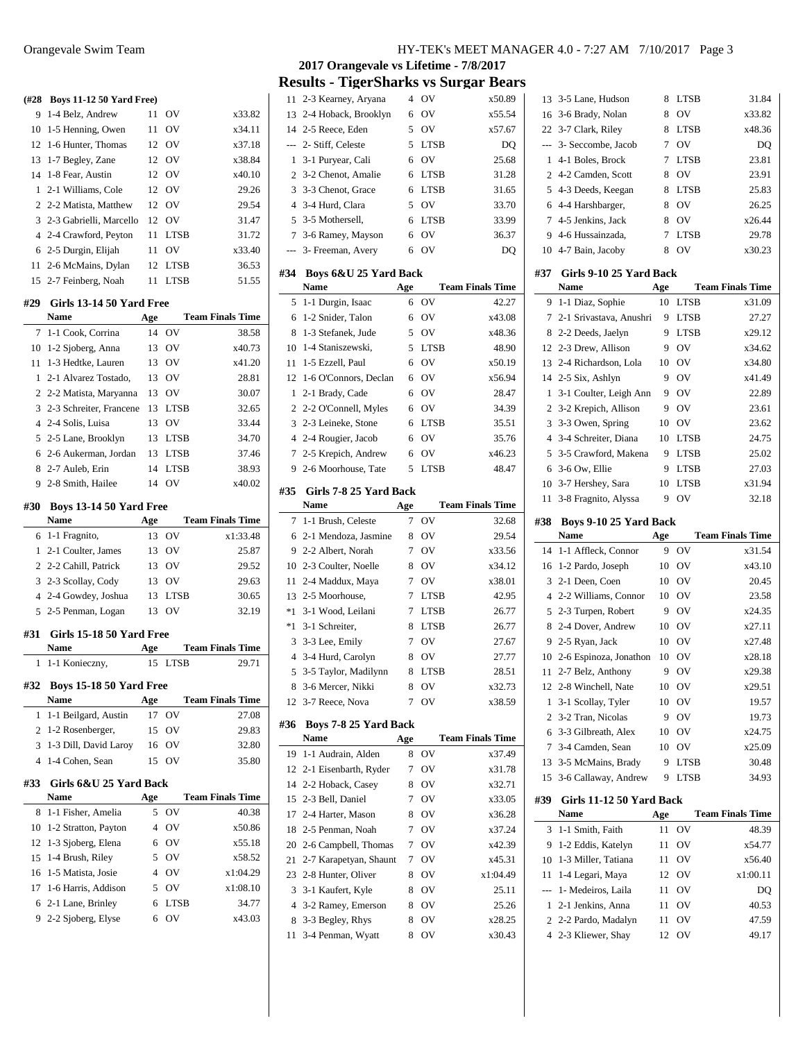| (#28)          | <b>Boys 11-12 50 Yard Free)</b>        |     |             |                         |
|----------------|----------------------------------------|-----|-------------|-------------------------|
| 9              | 1-4 Belz, Andrew                       | 11  | OV          | x33.82                  |
| 10             | 1-5 Henning, Owen                      | 11  | OV          | x34.11                  |
| 12             | 1-6 Hunter, Thomas                     | 12  | OV          | x37.18                  |
| 13             | 1-7 Begley, Zane                       | 12  | OV          | x38.84                  |
| 14             | 1-8 Fear, Austin                       | 12  | OV          | x40.10                  |
| 1              | 2-1 Williams, Cole                     | 12  | OV          | 29.26                   |
| 2              | 2-2 Matista, Matthew                   | 12  | OV          | 29.54                   |
| 3              | 2-3 Gabrielli, Marcello                | 12  | OV          | 31.47                   |
| $\overline{4}$ | 2-4 Crawford, Peyton                   | 11  | <b>LTSB</b> | 31.72                   |
| 6              | 2-5 Durgin, Elijah                     | 11  | <b>OV</b>   | x33.40                  |
| 11             | 2-6 McMains, Dylan                     | 12  | <b>LTSB</b> | 36.53                   |
| 15             | 2-7 Feinberg, Noah                     | 11  | <b>LTSB</b> | 51.55                   |
| #29            | Girls 13-14 50 Yard Free               |     |             |                         |
|                | Name                                   | Age |             | <b>Team Finals Time</b> |
| 7              | 1-1 Cook, Corrina                      | 14  | OV          | 38.58                   |
|                | 10 1-2 Sjoberg, Anna                   | 13  | OV          | x40.73                  |
| 11             | 1-3 Hedtke, Lauren                     | 13  | OV          | x41.20                  |
| 1              | 2-1 Alvarez Tostado,                   | 13  | <b>OV</b>   | 28.81                   |
| $\overline{c}$ | 2-2 Matista, Maryanna                  | 13  | <b>OV</b>   | 30.07                   |
| 3              | 2-3 Schreiter, Francene                | 13  | LTSB        | 32.65                   |
| $\overline{4}$ | 2-4 Solis, Luisa                       |     | 13 OV       | 33.44                   |
| 5              | 2-5 Lane, Brooklyn                     |     | 13 LTSB     | 34.70                   |
| 6              | 2-6 Aukerman, Jordan                   |     | 13 LTSB     | 37.46                   |
| 8              | 2-7 Auleb, Erin                        | 14  | <b>LTSB</b> | 38.93                   |
| 9              | 2-8 Smith, Hailee                      | 14  | <b>OV</b>   | x40.02                  |
|                |                                        |     |             |                         |
| #30            | <b>Boys 13-14 50 Yard Free</b>         |     |             |                         |
|                |                                        |     |             |                         |
|                | Name                                   | Age |             | <b>Team Finals Time</b> |
| 6              | 1-1 Fragnito,                          | 13  | OV          | x1:33.48                |
| 1              | 2-1 Coulter, James                     | 13  | OV          | 25.87                   |
| 2              | 2-2 Cahill, Patrick                    |     | 13 OV       | 29.52                   |
| 3              | 2-3 Scollay, Cody                      |     | 13 OV       | 29.63                   |
|                | 4 2-4 Gowdey, Joshua                   |     | 13 LTSB     | 30.65                   |
| 5              | 2-5 Penman, Logan                      | 13  | <b>OV</b>   | 32.19                   |
| #31            | Girls 15-18 50 Yard Free               |     |             |                         |
|                | Name                                   | Age |             | <b>Team Finals Time</b> |
| 1              | 1-1 Konieczny,                         |     | 15 LTSB     | 29.71                   |
| #32            | Boys 15-18 50 Yard Free                |     |             |                         |
|                | Name                                   | Age |             | <b>Team Finals Time</b> |
| 1              | 1-1 Beilgard, Austin                   | 17  | OV          | 27.08                   |
| 2              | 1-2 Rosenberger,                       | 15  | OV          | 29.83                   |
| 3              | 1-3 Dill, David Laroy                  | 16  | OV          | 32.80                   |
| $\overline{4}$ | 1-4 Cohen, Sean                        | 15  | OV          | 35.80                   |
|                |                                        |     |             |                         |
| #33            | Girls 6&U 25 Yard Back<br>Name         | Age |             | <b>Team Finals Time</b> |
| 8              | 1-1 Fisher, Amelia                     | 5   | ov          | 40.38                   |
| 10             | 1-2 Stratton, Payton                   | 4   | OV          | x50.86                  |
| 12             | 1-3 Sjoberg, Elena                     | 6   | OV          | x55.18                  |
| 15             |                                        | 5   | OV          | x58.52                  |
| 16             | 1-4 Brush, Riley<br>1-5 Matista, Josie | 4   | OV          | x1:04.29                |
| 17             | 1-6 Harris, Addison                    | 5   | OV          | x1:08.10                |
| 6              | 2-1 Lane, Brinley                      | 6   | <b>LTSB</b> | 34.77                   |

**2017 Orangevale vs Lifetime - 7/8/2017 Results - TigerSharks vs Surgar Bears**

| 11             | 2-3 Kearney, Aryana                   | 4      | OV                            | x50.89                  |
|----------------|---------------------------------------|--------|-------------------------------|-------------------------|
| 13             | 2-4 Hoback, Brooklyn                  | 6      | OV                            | x55.54                  |
| 14             | 2-5 Reece, Eden                       | 5      | OV                            | x57.67                  |
| $\overline{a}$ | 2- Stiff, Celeste                     | 5      | <b>LTSB</b>                   | DO                      |
| 1              | 3-1 Puryear, Cali                     | 6      | OV                            | 25.68                   |
| $\overline{2}$ | 3-2 Chenot, Amalie                    | 6      | <b>LTSB</b>                   | 31.28                   |
| 3              | 3-3 Chenot, Grace                     | 6      | <b>LTSB</b>                   | 31.65                   |
| $\overline{4}$ | 3-4 Hurd, Clara                       | 5      | OV                            | 33.70                   |
| 5              | 3-5 Mothersell,                       | 6      | <b>LTSB</b>                   | 33.99                   |
| 7              | 3-6 Ramey, Mayson                     | 6      | OV                            | 36.37                   |
| $---$          | 3- Freeman, Avery                     | 6      | OV                            | DO                      |
| #34            | Boys 6&U 25 Yard Back                 |        |                               |                         |
|                | <b>Name</b>                           | Age    |                               | <b>Team Finals Time</b> |
| 5              | 1-1 Durgin, Isaac                     | 6      | OV                            | 42.27                   |
| 6              | 1-2 Snider, Talon                     | 6      | OV                            | x43.08                  |
| 8              | 1-3 Stefanek, Jude                    | 5      | OV                            | x48.36                  |
| 10             | 1-4 Staniszewski,                     | 5      | <b>LTSB</b>                   | 48.90                   |
| 11             | 1-5 Ezzell, Paul                      | 6      | OV                            | x50.19                  |
| 12             | 1-6 O'Connors, Declan                 | 6      | OV                            | x56.94                  |
| $\mathbf{1}$   | 2-1 Brady, Cade                       | 6      | OV                            | 28.47                   |
| $\overline{2}$ | 2-2 O'Connell, Myles                  | 6      | OV                            | 34.39                   |
| 3              | 2-3 Leineke, Stone                    | 6      | <b>LTSB</b>                   | 35.51                   |
| $\overline{4}$ | 2-4 Rougier, Jacob                    | 6      | OV                            | 35.76                   |
| 7              | 2-5 Krepich, Andrew                   | 6      | OV                            | x46.23                  |
| 9              | 2-6 Moorhouse, Tate                   | 5      | <b>LTSB</b>                   | 48.47                   |
|                |                                       |        |                               |                         |
| #35            | Girls 7-8 25 Yard Back<br>Name        |        |                               | <b>Team Finals Time</b> |
|                |                                       | Age    |                               |                         |
|                |                                       |        |                               |                         |
| 7              | 1-1 Brush, Celeste                    | 7      | OV                            | 32.68                   |
| 6              | 2-1 Mendoza, Jasmine                  | 8      | OV                            | 29.54                   |
| 9              | 2-2 Albert, Norah                     | 7      | OV                            | x33.56                  |
| 10             | 2-3 Coulter, Noelle                   | 8      | OV                            | x34.12                  |
| 11             | 2-4 Maddux, Maya                      | 7      | OV                            | x38.01                  |
| 13             | 2-5 Moorhouse,                        | 7      | <b>LTSB</b>                   | 42.95                   |
| $*1$           | 3-1 Wood, Leilani                     | 7      | <b>LTSB</b>                   | 26.77                   |
| $*1$           | 3-1 Schreiter,                        | 8      | <b>LTSB</b>                   | 26.77                   |
| 3              | 3-3 Lee, Emily                        | 7      | OV                            | 27.67                   |
| $\overline{4}$ | 3-4 Hurd, Carolyn                     | 8      | OV                            | 27.77                   |
| 5              | 3-5 Taylor, Madilynn                  | 8      | <b>LTSB</b>                   | 28.51                   |
| 8              | 3-6 Mercer, Nikki                     |        | 8 OV                          | x32.73                  |
| 12             | 3-7 Reece, Nova                       | 7      | OV                            | x38.59                  |
| #36            | Boys 7-8 25 Yard Back                 |        |                               |                         |
|                | Name                                  | Age    |                               | <b>Team Finals Time</b> |
| 19             | 1-1 Audrain, Alden                    | 8      | OV                            | x37.49                  |
| 12             | 2-1 Eisenbarth, Ryder                 | 7      | $\overline{\text{O}}\text{V}$ | x31.78                  |
| 14             | 2-2 Hoback, Casey                     | 8      | ov                            | x32.71                  |
| 15             | 2-3 Bell, Daniel                      | 7      | ov                            | x33.05                  |
| 17             | 2-4 Harter, Mason                     | 8      | ov                            | x36.28                  |
| 18             | 2-5 Penman, Noah                      | 7      | OV                            | x37.24                  |
| 20             | 2-6 Campbell, Thomas                  | 7      | OV                            | x42.39                  |
| 21             | 2-7 Karapetyan, Shaunt                | 7      | OV                            | x45.31                  |
| 23             | 2-8 Hunter, Oliver                    | 8      | ov                            | x1:04.49                |
| 3              | 3-1 Kaufert, Kyle                     | 8      | OV                            | 25.11                   |
| 4              | 3-2 Ramey, Emerson                    | 8      | OV                            | 25.26                   |
| 8<br>11        | 3-3 Begley, Rhys<br>3-4 Penman, Wyatt | 8<br>8 | OV<br>OV                      | x28.25<br>x30.43        |

| 22             | 3-7 Clark, Riley         | 8   | <b>LTSB</b> | x48.36                  |
|----------------|--------------------------|-----|-------------|-------------------------|
| $\overline{a}$ | 3- Seccombe, Jacob       | 7   | OV          | DQ                      |
| 1              | 4-1 Boles, Brock         | 7   | <b>LTSB</b> | 23.81                   |
| $\overline{c}$ | 4-2 Camden, Scott        | 8   | OV          | 23.91                   |
| 5              | 4-3 Deeds, Keegan        | 8   | <b>LTSB</b> | 25.83                   |
| 6              | 4-4 Harshbarger,         | 8   | OV          | 26.25                   |
| 7              | 4-5 Jenkins, Jack        | 8   | OV          | x26.44                  |
| 9              | 4-6 Hussainzada,         | 7   | <b>LTSB</b> | 29.78                   |
| 10             | 4-7 Bain, Jacoby         | 8   | OV          | x30.23                  |
| #37            | Girls 9-10 25 Yard Back  |     |             |                         |
|                | <b>Name</b>              | Age |             | <b>Team Finals Time</b> |
| 9              | 1-1 Diaz, Sophie         | 10  | <b>LTSB</b> | x31.09                  |
| 7              | 2-1 Srivastava, Anushri  | 9   | <b>LTSB</b> | 27.27                   |
| 8              | 2-2 Deeds, Jaelyn        | 9   | <b>LTSB</b> | x29.12                  |
| 12             | 2-3 Drew, Allison        | 9   | OV          | x34.62                  |
| 13             | 2-4 Richardson, Lola     | 10  | OV          | x34.80                  |
| 14             | 2-5 Six, Ashlyn          | 9   | OV          | x41.49                  |
| 1              | 3-1 Coulter, Leigh Ann   | 9   | OV          | 22.89                   |
| $\overline{2}$ | 3-2 Krepich, Allison     | 9   | OV          | 23.61                   |
| 3              | 3-3 Owen, Spring         | 10  | OV          | 23.62                   |
| $\overline{4}$ | 3-4 Schreiter, Diana     | 10  | <b>LTSB</b> | 24.75                   |
| 5              | 3-5 Crawford, Makena     | 9   | <b>LTSB</b> | 25.02                   |
| 6              | 3-6 Ow, Ellie            | 9   | <b>LTSB</b> | 27.03                   |
| 10             | 3-7 Hershey, Sara        | 10  | <b>LTSB</b> | x31.94                  |
| 11             | 3-8 Fragnito, Alyssa     | 9   | OV          | 32.18                   |
|                |                          |     |             |                         |
| #38            | Boys 9-10 25 Yard Back   |     |             |                         |
|                | <b>Name</b>              | Age |             | <b>Team Finals Time</b> |
|                |                          |     |             |                         |
| 14             | 1-1 Affleck, Connor      | 9   | OV          | x31.54                  |
| 16             | 1-2 Pardo, Joseph        | 10  | OV          | x43.10                  |
| 3              | 2-1 Deen, Coen           | 10  | OV          | 20.45                   |
| 4              | 2-2 Williams, Connor     | 10  | OV          | 23.58                   |
| 5              | 2-3 Turpen, Robert       | 9   | OV          | x24.35                  |
| 8              | 2-4 Dover, Andrew        | 10  | OV          | x27.11                  |
| 9              | 2-5 Ryan, Jack           | 10  | OV          | x27.48                  |
| 10             | 2-6 Espinoza, Jonathon   | 10  | OV          | x28.18                  |
| 11             | 2-7 Belz, Anthony        | 9   | OV          | x29.38                  |
| 12             | 2-8 Winchell, Nate       | 10  | OV          | x29.51                  |
| 1              | 3-1 Scollay, Tyler       | 10  | OV          | 19.57                   |
| 2              | 3-2 Tran, Nicolas        | 9   | OV          | 19.73                   |
| 6              | 3-3 Gilbreath, Alex      | 10  | OV          | x24.75                  |
| 7              | 3-4 Camden, Sean         | 10  | OV          | x25.09                  |
| 13             | 3-5 McMains, Brady       | 9   | LTSB        | 30.48                   |
| 15             | 3-6 Callaway, Andrew     | 9   | <b>LTSB</b> | 34.93                   |
| #39            | Girls 11-12 50 Yard Back |     |             |                         |
|                | Name                     | Age |             | <b>Team Finals Time</b> |
| 3              | 1-1 Smith, Faith         | 11  | OV          | 48.39                   |
| 9              | 1-2 Eddis, Katelyn       | 11  | OV          | x54.77                  |
| 10             | 1-3 Miller, Tatiana      | 11  | OV          | x56.40                  |
| 11             | 1-4 Legari, Maya         | 12  | OV          | x1:00.11                |
| $\overline{a}$ | 1- Medeiros, Laila       | 11  | OV          | DQ                      |
| 1              | 2-1 Jenkins, Anna        | 11  | OV          | 40.53                   |
| 2              | 2-2 Pardo, Madalyn       | 11  | OV          | 47.59                   |
| 4              | 2-3 Kliewer, Shay        | 12  | ov          | 49.17                   |

 3-5 Lane, Hudson 8 LTSB 31.84 16 3-6 Brady, Nolan 8 OV x33.82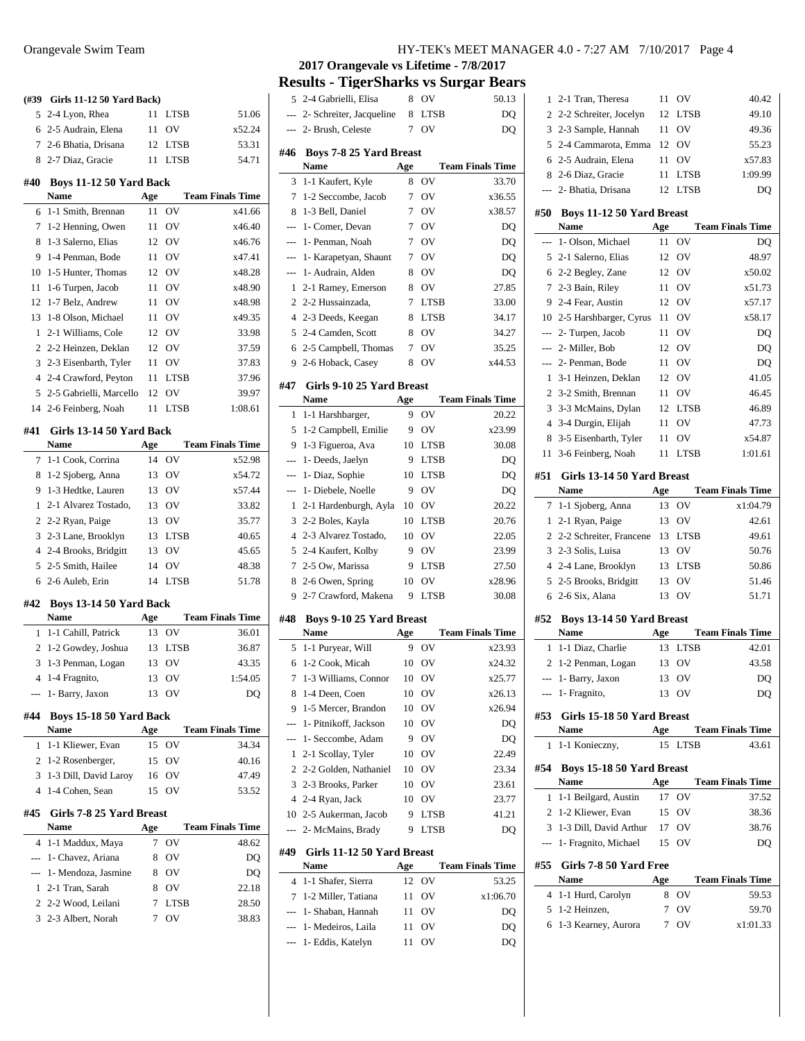| (#39           | Girls 11-12 50 Yard Back)                |     |             |                         |
|----------------|------------------------------------------|-----|-------------|-------------------------|
| 5              | 2-4 Lyon, Rhea                           | 11  | LTSB        | 51.06                   |
| 6              | 2-5 Audrain, Elena                       | 11  | OV          | x52.24                  |
| 7              | 2-6 Bhatia, Drisana                      | 12  | <b>LTSB</b> | 53.31                   |
| 8              | 2-7 Diaz, Gracie                         | 11  | <b>LTSB</b> | 54.71                   |
| #40            |                                          |     |             |                         |
|                | Boys 11-12 50 Yard Back<br><b>Name</b>   | Age |             | <b>Team Finals Time</b> |
| 6              | 1-1 Smith, Brennan                       | 11  | OV          | x41.66                  |
| 7              | 1-2 Henning, Owen                        | 11  | OV          | x46.40                  |
| 8              | 1-3 Salerno, Elias                       | 12  | OV          | x46.76                  |
| 9              | 1-4 Penman, Bode                         | 11  | OV          | x47.41                  |
| 10             | 1-5 Hunter, Thomas                       | 12  | OV          | x48.28                  |
| 11             |                                          |     | OV          |                         |
|                | 1-6 Turpen, Jacob                        | 11  | OV          | x48.90                  |
| 12             | 1-7 Belz, Andrew                         | 11  |             | x48.98                  |
| 13             | 1-8 Olson, Michael                       | 11  | OV          | x49.35                  |
| 1              | 2-1 Williams, Cole                       | 12  | OV          | 33.98                   |
| $\overline{c}$ | 2-2 Heinzen, Deklan                      | 12  | OV          | 37.59                   |
| 3              | 2-3 Eisenbarth, Tyler                    | 11  | OV          | 37.83                   |
| 4              | 2-4 Crawford, Peyton                     | 11  | <b>LTSB</b> | 37.96                   |
| 5              | 2-5 Gabrielli, Marcello                  | 12  | OV          | 39.97                   |
| 14             | 2-6 Feinberg, Noah                       | 11  | <b>LTSB</b> | 1:08.61                 |
| #41            | Girls 13-14 50 Yard Back                 |     |             |                         |
|                | Name                                     | Age |             | <b>Team Finals Time</b> |
| 7              | 1-1 Cook, Corrina                        | 14  | OV          | x52.98                  |
| 8              | 1-2 Sjoberg, Anna                        | 13  | OV          | x54.72                  |
| 9              | 1-3 Hedtke, Lauren                       | 13  | OV          | x57.44                  |
| 1              | 2-1 Alvarez Tostado,                     |     | 13 OV       | 33.82                   |
| 2              | 2-2 Ryan, Paige                          | 13  | OV          | 35.77                   |
| 3              | 2-3 Lane, Brooklyn                       | 13  | <b>LTSB</b> | 40.65                   |
| 4              | 2-4 Brooks, Bridgitt                     | 13  | OV          | 45.65                   |
| 5              | 2-5 Smith, Hailee                        | 14  | OV          | 48.38                   |
|                |                                          |     |             |                         |
| 6              |                                          | 14  | <b>LTSB</b> | 51.78                   |
|                | 2-6 Auleb, Erin                          |     |             |                         |
| #42            | Boys 13-14 50 Yard Back                  |     |             |                         |
|                | Name                                     | Age |             | <b>Team Finals Time</b> |
| 1              | 1-1 Cahill, Patrick                      | 13  | OV          | 36.01                   |
| 2              | 1-2 Gowdey, Joshua                       | 13  | <b>LTSB</b> | 36.87                   |
| 3              | 1-3 Penman, Logan                        | 13  | OV          | 43.35                   |
| 4              | 1-4 Fragnito,                            | 13  | OV          | 1:54.05                 |
|                | 1- Barry, Jaxon                          | 13  | OV          | DQ                      |
| #44            |                                          |     |             |                         |
|                | Boys 15-18 50 Yard Back<br>Name          | Age |             | <b>Team Finals Time</b> |
| 1              |                                          | 15  | ov          | 34.34                   |
| 2              | 1-1 Kliewer, Evan<br>1-2 Rosenberger,    | 15  | OV          | 40.16                   |
| 3              |                                          | 16  | OV          | 47.49                   |
| 4              | 1-3 Dill, David Laroy<br>1-4 Cohen, Sean | 15  | OV          | 53.52                   |
|                |                                          |     |             |                         |
| #45            | Girls 7-8 25 Yard Breast                 |     |             |                         |
|                | Name                                     | Age |             | <b>Team Finals Time</b> |
| 4              | 1-1 Maddux, Maya                         | 7   | OV          | 48.62                   |
| ---            | 1- Chavez, Ariana                        | 8   | OV          | DQ                      |
| ---            | 1- Mendoza, Jasmine                      | 8   | OV          | DQ                      |
| 1              | 2-1 Tran, Sarah                          | 8   | OV          | 22.18                   |
|                | 2 2-2 Wood, Leilani                      | 7   | LTSB        | 28.50                   |
|                | 3 2-3 Albert, Norah                      | 7   | OV          | 38.83                   |
|                |                                          |     |             |                         |

**2017 Orangevale vs Lifetime - 7/8/2017**

**Results - TigerSharks vs Surgar Bears**

| 5              | 2-4 Gabrielli, Elisa                          | 8   | OV          | 50.13                   |
|----------------|-----------------------------------------------|-----|-------------|-------------------------|
| ---            | 2- Schreiter, Jacqueline                      | 8   | <b>LTSB</b> | DQ                      |
|                | 2- Brush, Celeste                             | 7   | OV          | DQ                      |
|                |                                               |     |             |                         |
| #46            | <b>Boys 7-8 25 Yard Breast</b><br><b>Name</b> | Age |             | <b>Team Finals Time</b> |
| 3              | 1-1 Kaufert, Kyle                             | 8   | ov          | 33.70                   |
| 7              | 1-2 Seccombe, Jacob                           | 7   | ov          | x36.55                  |
| 8              | 1-3 Bell, Daniel                              | 7   | ov          | x38.57                  |
| ---            | 1- Comer, Devan                               | 7   | ov          | DO                      |
| ---            | 1- Penman, Noah                               | 7   | OV          | DQ                      |
| ---            | 1- Karapetyan, Shaunt                         | 7   | OV          | DQ                      |
| $\overline{a}$ | 1- Audrain, Alden                             | 8   | ov          | DQ                      |
| 1              | 2-1 Ramey, Emerson                            | 8   | OV          | 27.85                   |
| $\overline{c}$ | 2-2 Hussainzada,                              | 7   | LTSB        | 33.00                   |
| 4              | 2-3 Deeds, Keegan                             | 8   | <b>LTSB</b> | 34.17                   |
| 5              | 2-4 Camden, Scott                             | 8   | OV          | 34.27                   |
| 6              | 2-5 Campbell, Thomas                          | 7   | OV          | 35.25                   |
| 9              | 2-6 Hoback, Casey                             | 8   | OV          | x44.53                  |
|                |                                               |     |             |                         |
| #47            | Girls 9-10 25 Yard Breast                     |     |             |                         |
|                | Name                                          | Age |             | <b>Team Finals Time</b> |
| 1              | 1-1 Harshbarger,                              | 9   | OV          | 20.22                   |
| 5              | 1-2 Campbell, Emilie                          | 9   | OV          | x23.99                  |
| 9              | 1-3 Figueroa, Ava                             | 10  | <b>LTSB</b> | 30.08                   |
| ---            | 1- Deeds, Jaelyn                              | 9   | <b>LTSB</b> | DQ                      |
| $---$          | 1- Diaz, Sophie                               | 10  | <b>LTSB</b> | DQ                      |
| ---            | 1- Diebele, Noelle                            | 9   | OV          | DQ                      |
| 1              | 2-1 Hardenburgh, Ayla                         | 10  | OV          | 20.22                   |
| 3              | 2-2 Boles, Kayla                              | 10  | LTSB        | 20.76                   |
| $\overline{4}$ | 2-3 Alvarez Tostado,                          | 10  | OV          | 22.05                   |
| 5              | 2-4 Kaufert, Kolby                            | 9   | OV          | 23.99                   |
| 7              | 2-5 Ow, Marissa                               | 9   | LTSB        | 27.50                   |
| 8              | 2-6 Owen, Spring                              | 10  | OV          | x28.96                  |
| 9              | 2-7 Crawford, Makena                          | 9   | LTSB        | 30.08                   |
| #48            | Boys 9-10 25 Yard Breast                      |     |             |                         |
|                | <b>Name</b>                                   | Age |             | <b>Team Finals Time</b> |
| 5              | 1-1 Puryear, Will                             | 9   | OV          | x23.93                  |
| 6              | 1-2 Cook, Micah                               | 10  | OV          | x24.32                  |
| $\tau$         | 1-3 Williams, Connor                          | 10  | OV          | x25.77                  |
| 8              | 1-4 Deen, Coen                                | 10  | ov          | x26.13                  |
| 9              | 1-5 Mercer, Brandon                           | 10  | OV          | x26.94                  |
| $\overline{a}$ | 1- Pitnikoff, Jackson                         | 10  | OV          | DQ                      |
| ---            | 1- Seccombe, Adam                             | 9   | OV          | DO                      |
| 1              | 2-1 Scollay, Tyler                            | 10  | OV          | 22.49                   |
| $\overline{2}$ | 2-2 Golden, Nathaniel                         | 10  | OV          | 23.34                   |
| 3              | 2-3 Brooks, Parker                            | 10  | ov          | 23.61                   |
| 4              | 2-4 Ryan, Jack                                | 10  | OV          | 23.77                   |
| 10             | 2-5 Aukerman, Jacob                           | 9   | <b>LTSB</b> | 41.21                   |
| $\overline{a}$ | 2- McMains, Brady                             | 9   | LTSB        | DQ                      |
| #49            | Girls 11-12 50 Yard Breast                    |     |             |                         |
|                | Name                                          | Age |             | <b>Team Finals Time</b> |
| 4              |                                               |     |             |                         |
|                | 1-1 Shafer, Sierra                            | 12  | ov          | 53.25                   |
| 7              | 1-2 Miller, Tatiana                           | 11  | OV          | x1:06.70                |
| ---            | 1- Shaban, Hannah                             | 11  | ov          | DQ                      |
| ---            | 1- Medeiros, Laila                            | 11  | ov          | DQ                      |
| ---            | 1- Eddis, Katelyn                             | 11  | ov          | DQ                      |
|                |                                               |     |             |                         |

| 1              | 2-1 Tran, Theresa                               | 11        | OV             | 40.42                   |
|----------------|-------------------------------------------------|-----------|----------------|-------------------------|
| 2              | 2-2 Schreiter, Jocelyn                          | 12        | <b>LTSB</b>    | 49.10                   |
| 3              | 2-3 Sample, Hannah                              | 11        | OV             | 49.36                   |
| 5              | 2-4 Cammarota, Emma                             | 12        | OV             | 55.23                   |
| 6              | 2-5 Audrain, Elena                              | 11        | OV             | x57.83                  |
| 8              | 2-6 Diaz, Gracie                                | 11        | <b>LTSB</b>    | 1:09.99                 |
| ---            | 2- Bhatia, Drisana                              | 12        | LTSB           | DQ                      |
| #50            | <b>Boys 11-12 50 Yard Breast</b><br><b>Name</b> |           |                | <b>Team Finals Time</b> |
|                | 1- Olson, Michael                               | Age<br>11 | OV             | DQ                      |
| 5              | 2-1 Salerno, Elias                              | 12        | OV             | 48.97                   |
| 6              | 2-2 Begley, Zane                                | 12        | OV             | x50.02                  |
| 7              | 2-3 Bain, Riley                                 | 11        | OV             | x51.73                  |
| 9              | 2-4 Fear, Austin                                | 12        | OV             | x57.17                  |
|                | 10 2-5 Harshbarger, Cyrus                       | 11        | OV             | x58.17                  |
| $---$          | 2- Turpen, Jacob                                | 11        | OV             | DQ                      |
| ---            | 2- Miller, Bob                                  | 12        | ov             | DQ                      |
| ---            | 2- Penman, Bode                                 | 11        | OV             | DQ                      |
| 1              | 3-1 Heinzen, Deklan                             | 12        | OV             | 41.05                   |
| $\overline{c}$ | 3-2 Smith, Brennan                              | 11        | ov             | 46.45                   |
| 3              | 3-3 McMains, Dylan                              | 12        | <b>LTSB</b>    | 46.89                   |
| $\overline{4}$ | 3-4 Durgin, Elijah                              | 11        | OV             | 47.73                   |
| 8              | 3-5 Eisenbarth, Tyler                           | 11        | OV             | x54.87                  |
| 11             | 3-6 Feinberg, Noah                              | 11        | <b>LTSB</b>    | 1:01.61                 |
| #51            | Girls 13-14 50 Yard Breast                      |           |                |                         |
|                | Name                                            | Age       |                | <b>Team Finals Time</b> |
| 7              | 1-1 Sjoberg, Anna                               | 13        | OV             | x1:04.79                |
| 1              | 2-1 Ryan, Paige                                 | 13        | OV             | 42.61                   |
| 2              | 2-2 Schreiter, Francene                         | 13        | <b>LTSB</b>    | 49.61                   |
| 3              | 2-3 Solis, Luisa                                | 13        | OV             | 50.76                   |
| $\overline{4}$ | 2-4 Lane, Brooklyn                              | 13        | LTSB           | 50.86                   |
| 5              | 2-5 Brooks, Bridgitt                            | 13        | OV<br>OV       | 51.46                   |
| 6              | 2-6 Six, Alana                                  | 13        |                | 51.71                   |
| #52            | Boys 13-14 50 Yard Breast<br><b>Name</b>        |           |                | <b>Team Finals Time</b> |
|                |                                                 | Age<br>13 | <b>LTSB</b>    |                         |
| 1              | 1-1 Diaz, Charlie                               | 13        | OV             | 42.01<br>43.58          |
| 2              | 1-2 Penman, Logan<br>1- Barry, Jaxon            | 13        | OV             | DQ                      |
| ---            | 1- Fragnito,                                    | 13        | O <sub>V</sub> |                         |
|                |                                                 |           |                | DQ                      |
| #53            | Girls 15-18 50 Yard Breast                      |           |                |                         |
|                | Name                                            | Age       |                | <b>Team Finals Time</b> |
| 1              | 1-1 Konieczny,                                  | 15        | <b>LTSB</b>    | 43.61                   |
| #54            | Boys 15-18 50 Yard Breast                       |           |                |                         |
|                | Name                                            | Age       |                | <b>Team Finals Time</b> |
| 1              | 1-1 Beilgard, Austin                            | 17        | OV             | 37.52                   |
| 2              | 1-2 Kliewer, Evan                               | 15        | OV             | 38.36                   |
| 3              | 1-3 Dill, David Arthur                          |           | 17 OV          | 38.76                   |
| $\overline{a}$ | 1- Fragnito, Michael                            | 15        | OV             | DQ                      |
| #55            | Girls 7-8 50 Yard Free<br>Name                  | Age       |                | <b>Team Finals Time</b> |
| 4              | 1-1 Hurd, Carolyn                               | 8         | OV             | 59.53                   |
| 5              | 1-2 Heinzen,                                    | 7         | OV             | 59.70                   |
| 6              | 1-3 Kearney, Aurora                             | 7         | ov             | x1:01.33                |
|                |                                                 |           |                |                         |
|                |                                                 |           |                |                         |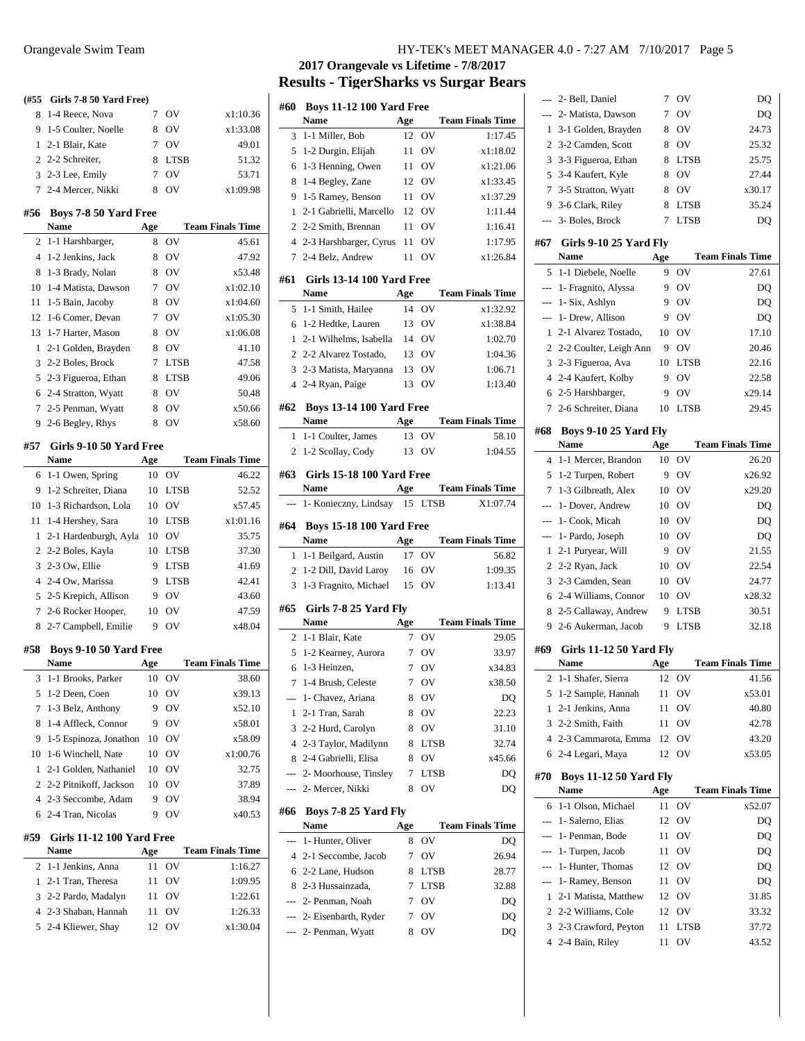| (#55           | Girls 7-8 50 Yard Free)              |           |             |                                    |
|----------------|--------------------------------------|-----------|-------------|------------------------------------|
| 8              | 1-4 Reece, Nova                      | 7         | OV          | x1:10.36                           |
| 9              | 1-5 Coulter, Noelle                  | 8         | OV          | x1:33.08                           |
| 1              | 2-1 Blair, Kate                      | 7         | OV          | 49.01                              |
| $\overline{c}$ | 2-2 Schreiter,                       | 8         | <b>LTSB</b> | 51.32                              |
| 3              | 2-3 Lee, Emily                       | 7         | OV          | 53.71                              |
| 7              | 2-4 Mercer, Nikki                    | 8         | OV          | x1:09.98                           |
| #56            | Boys 7-8 50 Yard Free                |           |             |                                    |
|                | Name                                 | Age       |             | <b>Team Finals Time</b>            |
| 2              | 1-1 Harshbarger,                     | 8         | OV          | 45.61                              |
| $\overline{4}$ | 1-2 Jenkins, Jack                    | 8         | OV          | 47.92                              |
| 8              | 1-3 Brady, Nolan                     | 8         | OV          | x53.48                             |
| 10             | 1-4 Matista, Dawson                  | 7         | OV          | x1:02.10                           |
| 11             | 1-5 Bain, Jacoby                     | 8         | OV          | x1:04.60                           |
| 12             | 1-6 Comer, Devan                     | 7         | OV          | x1:05.30                           |
| 13             | 1-7 Harter, Mason                    | 8         | OV          | x1:06.08                           |
| 1              | 2-1 Golden, Brayden                  | 8         | OV          | 41.10                              |
| 3              | 2-2 Boles, Brock                     | 7         | <b>LTSB</b> | 47.58                              |
| 5              | 2-3 Figueroa, Ethan                  | 8         | <b>LTSB</b> | 49.06                              |
| 6              | 2-4 Stratton, Wyatt                  | 8         | OV          | 50.48                              |
| 7              | 2-5 Penman, Wyatt                    | 8         | OV          | x50.66                             |
| 9              | 2-6 Begley, Rhys                     | 8         | OV          | x58.60                             |
| #57            |                                      |           |             |                                    |
|                | Girls 9-10 50 Yard Free<br>Name      | Age       |             | <b>Team Finals Time</b>            |
| 6              | 1-1 Owen, Spring                     | 10        | OV          | 46.22                              |
| 9              | 1-2 Schreiter, Diana                 | 10        | <b>LTSB</b> | 52.52                              |
| 10             | 1-3 Richardson, Lola                 | 10        | OV          | x57.45                             |
| 11             | 1-4 Hershey, Sara                    | 10        | <b>LTSB</b> | x1:01.16                           |
| 1              | 2-1 Hardenburgh, Ayla                | 10        | OV          | 35.75                              |
| $\overline{c}$ | 2-2 Boles, Kayla                     | 10        | <b>LTSB</b> | 37.30                              |
| 3              | 2-3 Ow, Ellie                        | 9         | <b>LTSB</b> | 41.69                              |
| $\overline{4}$ | 2-4 Ow, Marissa                      | 9         | <b>LTSB</b> | 42.41                              |
| 5              | 2-5 Krepich, Allison                 | 9         | OV          | 43.60                              |
| 7              | 2-6 Rocker Hooper,                   | 10        | OV          | 47.59                              |
| 8              | 2-7 Campbell, Emilie                 | 9         | OV          | x48.04                             |
|                |                                      |           |             |                                    |
| #58            | Boys 9-10 50 Yard Free<br>Name       |           |             | <b>Team Finals Time</b>            |
|                |                                      | Age<br>10 | ov          |                                    |
| 3<br>5         | 1-1 Brooks, Parker<br>1-2 Deen, Coen | 10        | OV          | 38.60<br>x39.13                    |
| 7              | 1-3 Belz, Anthony                    | 9         | OV          | x52.10                             |
| 8              | 1-4 Affleck, Connor                  | 9         | OV          | x58.01                             |
| 9              | 1-5 Espinoza, Jonathon               | 10        | OV          | x58.09                             |
| 10             | 1-6 Winchell, Nate                   | 10        | OV          | x1:00.76                           |
| 1              | 2-1 Golden, Nathaniel                | 10        | OV          | 32.75                              |
| 2              | 2-2 Pitnikoff, Jackson               | 10        | OV          | 37.89                              |
| $\overline{4}$ | 2-3 Seccombe, Adam                   | 9         | OV          | 38.94                              |
| 6              | 2-4 Tran, Nicolas                    | 9         | OV          | x40.53                             |
|                |                                      |           |             |                                    |
| #59            | Girls 11-12 100 Yard Free            |           |             |                                    |
| $\overline{c}$ | <b>Name</b><br>1-1 Jenkins, Anna     | Age<br>11 | ov          | <b>Team Finals Time</b><br>1:16.27 |
| 1              | 2-1 Tran, Theresa                    | 11        | OV          | 1:09.95                            |
| 3              | 2-2 Pardo, Madalyn                   | 11        | OV          | 1:22.61                            |
| $\overline{4}$ | 2-3 Shaban, Hannah                   | 11        | OV          | 1:26.33                            |
| 5              | 2-4 Kliewer, Shay                    | 12        | OV          | x1:30.04                           |
|                |                                      |           |             |                                    |

## **2017 Orangevale vs Lifetime - 7/8/2017 Results - TigerSharks vs Surgar Bears**

| #60            | <b>Boys 11-12 100 Yard Free</b>              |           |             |                         |
|----------------|----------------------------------------------|-----------|-------------|-------------------------|
|                | <b>Name</b>                                  | Age       |             | <b>Team Finals Time</b> |
| 3              | 1-1 Miller, Bob                              | 12        | ov          | 1:17.45                 |
| 5              | 1-2 Durgin, Elijah                           | 11        | OV          | x1:18.02                |
| 6              | 1-3 Henning, Owen                            | 11        | OV          | x1:21.06                |
| 8              | 1-4 Begley, Zane                             | 12        | OV          | x1:33.45                |
| 9              | 1-5 Ramey, Benson                            | 11        | OV          | x1:37.29                |
| 1              | 2-1 Gabrielli, Marcello                      | 12        | ov          | 1:11.44                 |
| 2              | 2-2 Smith, Brennan                           | 11        | ov          | 1:16.41                 |
| 4              | 2-3 Harshbarger, Cyrus                       | 11        | OV          | 1:17.95                 |
| 7              | 2-4 Belz, Andrew                             | 11        | ov          | x1:26.84                |
| #61            | <b>Girls 13-14 100 Yard Free</b>             |           |             |                         |
|                | Name                                         | Age       |             | <b>Team Finals Time</b> |
| 5              | 1-1 Smith, Hailee                            | 14        | OV          | x1:32.92                |
| 6              | 1-2 Hedtke, Lauren                           | 13        | OV          | x1:38.84                |
| 1              | 2-1 Wilhelms, Isabella                       |           | 14 OV       | 1:02.70                 |
| 2              | 2-2 Alvarez Tostado,                         | 13        | OV          | 1:04.36                 |
| 3              | 2-3 Matista, Maryanna                        | 13        | OV          | 1:06.71                 |
| 4              | 2-4 Ryan, Paige                              | 13        | OV          | 1:13.40                 |
|                |                                              |           |             |                         |
| #62            | <b>Boys 13-14 100 Yard Free</b><br>Name      |           |             | <b>Team Finals Time</b> |
|                | 1-1 Coulter, James                           | Age<br>13 | OV          | 58.10                   |
| 1              |                                              | 13        | OV          | 1:04.55                 |
| 2              | 1-2 Scollay, Cody                            |           |             |                         |
| #63            | Girls 15-18 100 Yard Free                    |           |             |                         |
|                | Name                                         | Age       |             | <b>Team Finals Time</b> |
| $---$          | 1- Konieczny, Lindsay                        | 15        | LTSB        | X1:07.74                |
| #64            |                                              |           |             |                         |
|                | <b>Boys 15-18 100 Yard Free</b>              |           |             |                         |
|                | <b>Name</b>                                  |           |             |                         |
|                |                                              | Age       |             | <b>Team Finals Time</b> |
| 1              | 1-1 Beilgard, Austin                         | 17        | OV          | 56.82                   |
| 2<br>3         | 1-2 Dill, David Laroy                        | 16<br>15  | OV<br>OV    | 1:09.35<br>1:13.41      |
|                | 1-3 Fragnito, Michael                        |           |             |                         |
| #65            | Girls 7-8 25 Yard Fly                        |           |             |                         |
|                | <b>Name</b>                                  | Age       |             | <b>Team Finals Time</b> |
| 2              | 1-1 Blair, Kate                              | 7         | ov          | 29.05                   |
| 5              | 1-2 Kearney, Aurora                          | 7         | ov          | 33.97                   |
| 6              | 1-3 Heinzen,                                 | 7         | OV          | x34.83                  |
| 7              | 1-4 Brush, Celeste                           | 7         | OV          | x38.50                  |
| ---            | 1- Chavez, Ariana                            | 8         | ov          | DQ                      |
| 1              | 2-1 Tran, Sarah                              | 8         | OV          | 22.23                   |
| 3              | 2-2 Hurd, Carolyn                            | 8         | OV          | 31.10                   |
| $\overline{4}$ | 2-3 Taylor, Madilynn                         | 8         | <b>LTSB</b> | 32.74                   |
| 8              | 2-4 Gabrielli, Elisa                         | 8         | OV          | x45.66                  |
| $---$          | 2- Moorhouse, Tinsley                        | 7         | LTSB        | DQ                      |
| ---            | 2- Mercer, Nikki                             | 8         | OV          | DQ                      |
|                |                                              |           |             |                         |
| #66            | Boys 7-8 25 Yard Fly                         |           |             |                         |
| $\overline{a}$ | Name                                         | Age       |             | <b>Team Finals Time</b> |
|                | 1- Hunter, Oliver                            | 8<br>7    | ov          | DQ                      |
|                | 4 2-1 Seccombe, Jacob                        |           | OV          | 26.94                   |
| 6              | 2-2 Lane, Hudson                             | 8         | LTSB        | 28.77                   |
| 8.             | 2-3 Hussainzada,                             | 7         | <b>LTSB</b> | 32.88                   |
|                | --- 2- Penman, Noah                          | 7         | OV          | DQ                      |
| ---            | --- 2- Eisenbarth, Ryder<br>2- Penman, Wyatt | 7<br>8    | OV<br>OV    | DQ<br>DQ                |

|                | 2- Bell, Daniel                         | 7        | ov          | DQ                      |
|----------------|-----------------------------------------|----------|-------------|-------------------------|
| ---            | 2- Matista, Dawson                      | 7        | OV          | DQ                      |
| 1              | 3-1 Golden, Brayden                     | 8        | OV          | 24.73                   |
| $\overline{c}$ | 3-2 Camden, Scott                       | 8        | OV          | 25.32                   |
| 3              | 3-3 Figueroa, Ethan                     | 8        | LTSB        | 25.75                   |
| 5              | 3-4 Kaufert, Kyle                       | 8        | OV          | 27.44                   |
| 7              | 3-5 Stratton, Wyatt                     | 8        | OV          | x30.17                  |
| 9.             | 3-6 Clark, Riley                        | 8        | <b>LTSB</b> | 35.24                   |
|                | 3- Boles, Brock                         | 7        | <b>LTSB</b> | DQ                      |
| #67            |                                         |          |             |                         |
|                | Girls 9-10 25 Yard Fly<br>Name          | Age      |             | <b>Team Finals Time</b> |
| 5              | 1-1 Diebele, Noelle                     | 9        | OV          | 27.61                   |
| ---            | 1- Fragnito, Alyssa                     | 9        | OV          | DQ                      |
| ---            | 1- Six, Ashlyn                          | 9        | OV          | DQ                      |
| ---            | 1- Drew, Allison                        | 9        | OV          | DQ                      |
| 1              | 2-1 Alvarez Tostado,                    | 10       | OV          | 17.10                   |
| $\overline{c}$ |                                         | 9        | OV          | 20.46                   |
|                | 2-2 Coulter, Leigh Ann                  |          |             | 22.16                   |
| 3              | 2-3 Figueroa, Ava                       | 10       | <b>LTSB</b> |                         |
| $\overline{4}$ | 2-4 Kaufert, Kolby                      | 9        | OV          | 22.58                   |
|                | 6 2-5 Harshbarger,                      | 9        | OV          | x29.14                  |
| 7              | 2-6 Schreiter, Diana                    | 10       | <b>LTSB</b> | 29.45                   |
| #68            | <b>Boys 9-10 25 Yard Fly</b>            |          |             |                         |
|                | <b>Name</b>                             | Age      |             | <b>Team Finals Time</b> |
| 4              | 1-1 Mercer, Brandon                     | 10       | OV          | 26.20                   |
| 5              | 1-2 Turpen, Robert                      | 9        | OV          | x26.92                  |
| 7              | 1-3 Gilbreath, Alex                     | 10       | OV          | x29.20                  |
| $---$          | 1- Dover, Andrew                        | 10       | OV          | DQ                      |
| $\overline{a}$ | 1- Cook, Micah                          | 10       | OV          | DQ                      |
|                | 1- Pardo, Joseph                        | 10       | OV          | DQ                      |
| 1              | 2-1 Puryear, Will                       | 9        | OV          | 21.55                   |
| 2              | 2-2 Ryan, Jack                          | 10       | OV          | 22.54                   |
|                |                                         |          |             |                         |
| 3              | 2-3 Camden, Sean                        | 10       | OV          | 24.77                   |
| 6              | 2-4 Williams, Connor                    | 10       | OV          | x28.32                  |
| 8              | 2-5 Callaway, Andrew                    | 9        | LTSB        | 30.51                   |
| 9              | 2-6 Aukerman, Jacob                     | 9        | <b>LTSB</b> | 32.18                   |
|                |                                         |          |             |                         |
| #69            | <b>Girls 11-12 50 Yard Fly</b><br>Name  | Age      |             | <b>Team Finals Time</b> |
| 2              | 1-1 Shafer, Sierra                      | 12       | OV          | 41.56                   |
| 5              | 1-2 Sample, Hannah                      | 11       | OV          | x53.01                  |
| 1              | 2-1 Jenkins, Anna                       | 11       | OV          | 40.80                   |
| 3              | 2-2 Smith, Faith                        | 11       | OV          | 42.78                   |
| 4              | 2-3 Cammarota, Emma                     | 12       | ov          | 43.20                   |
| 6              | 2-4 Legari, Maya                        | 12       | ov          | x53.05                  |
|                |                                         |          |             |                         |
| #70            | <b>Boys 11-12 50 Yard Fly</b>           |          |             |                         |
| 6              | Name                                    | Age      |             | <b>Team Finals Time</b> |
| $\overline{a}$ | 1-1 Olson, Michael<br>1- Salerno, Elias | 11<br>12 | OV          | x52.07                  |
| $---$          | 1- Penman, Bode                         | 11       | ov<br>OV    | DQ<br>DQ                |
|                |                                         | 11       |             |                         |
|                | 1- Turpen, Jacob                        | 12       | OV          | DQ                      |
| ---            | 1- Hunter, Thomas                       |          | OV          | DQ                      |
| 1              | 1- Ramey, Benson                        | 11       | OV          | DQ                      |
| $\overline{c}$ | 2-1 Matista, Matthew                    | 12       | ov          | 31.85                   |
|                | 2-2 Williams, Cole                      | 12       | ov          | 33.32                   |
| 3<br>4         | 2-3 Crawford, Peyton<br>2-4 Bain, Riley | 11<br>11 | LTSB<br>OV  | 37.72<br>43.52          |